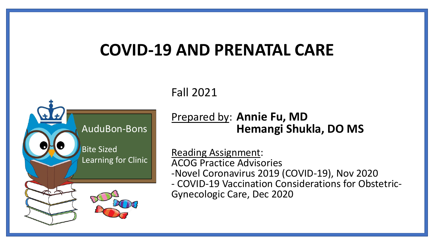## **COVID-19 AND PRENATAL CARE**



Fall 2021

### Prepared by: **Annie Fu, MD Hemangi Shukla, DO MS**

Reading Assignment: ACOG Practice Advisories -Novel Coronavirus 2019 (COVID-19), Nov 2020 - COVID-19 Vaccination Considerations for Obstetric-Gynecologic Care, Dec 2020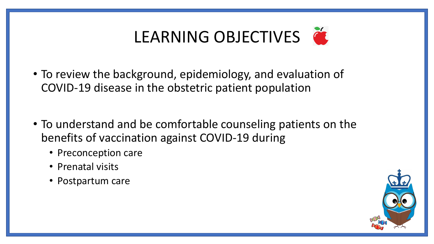

- To review the background, epidemiology, and evaluation of COVID-19 disease in the obstetric patient population
- To understand and be comfortable counseling patients on the benefits of vaccination against COVID-19 during
	- Preconception care
	- Prenatal visits
	- Postpartum care

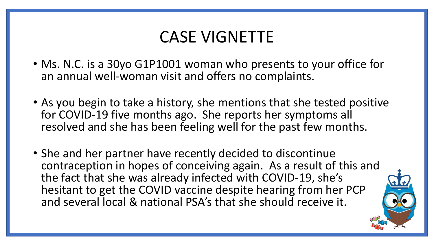## CASE VIGNETTE

- Ms. N.C. is a 30yo G1P1001 woman who presents to your office for an annual well-woman visit and offers no complaints.
- As you begin to take a history, she mentions that she tested positive for COVID-19 five months ago. She reports her symptoms all resolved and she has been feeling well for the past few months.
- She and her partner have recently decided to discontinue contraception in hopes of conceiving again. As a result of this and the fact that she was already infected with COVID-19, she's hesitant to get the COVID vaccine despite hearing from her PCP and several local & national PSA's that she should receive it.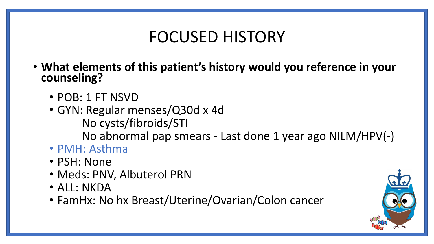## FOCUSED HISTORY

- **What elements of this patient's history would you reference in your counseling?**
	- POB: 1 FT NSVD
	- GYN: Regular menses/Q30d x 4d No cysts/fibroids/STI No abnormal pap smears - Last done 1 year ago NILM/HPV(-)
	- PMH: Asthma
	- PSH: None
	- Meds: PNV, Albuterol PRN
	- ALL: NKDA
	- FamHx: No hx Breast/Uterine/Ovarian/Colon cancer

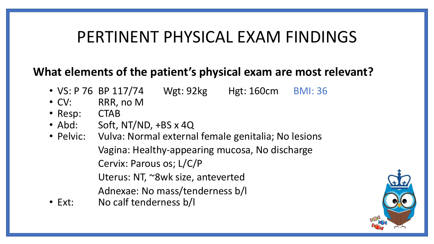## PERTINENT PHYSICAL EXAM FINDINGS

## **What elements of the patient's physical exam are most relevant?**

- VS: P 76 BP 117/74 Wgt: 92kg Hgt: 160cm BMI: 36
- CV: RRR, no M
- Resp: CTAB
- Abd: Soft, NT/ND, +BS x 4Q
- Pelvic: Vulva: Normal external female genitalia; No lesions Vagina: Healthy-appearing mucosa, No discharge Cervix: Parous os; L/C/P Uterus: NT, ~8wk size, anteverted Adnexae: No mass/tenderness b/l
- Ext: No calf tenderness b/l

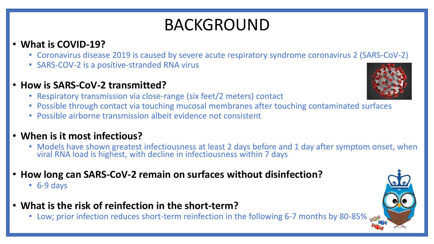# BACKGROUND

### • **What is COVID-19?**

- Coronavirus disease 2019 is caused by severe acute respiratory syndrome coronavirus 2 (SARS-CoV-2)
- SARS-COV-2 is a positive-stranded RNA virus
- **How is SARS-CoV-2 transmitted?**
	- Respiratory transmission via close-range (six feet/2 meters) contact
	- Possible through contact via touching mucosal membranes after touching contaminated surfaces
	- Possible airborne transmission albeit evidence not consistent

### • **When is it most infectious?**

- Models have shown greatest infectiousness at least 2 days before and 1 day after symptom onset, when viral RNA load is highest, with decline in infectiousness within 7 days
- **How long can SARS-CoV-2 remain on surfaces without disinfection?**
	- 6-9 days
- **What is the risk of reinfection in the short-term?**
	- Low; prior infection reduces short-term reinfection in the following 6-7 months by 80-85%

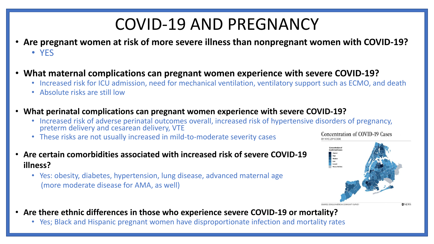## COVID-19 AND PREGNANCY

- **Are pregnant women at risk of more severe illness than nonpregnant women with COVID-19?** • YES
- **What maternal complications can pregnant women experience with severe COVID-19?**
	- Increased risk for ICU admission, need for mechanical ventilation, ventilatory support such as ECMO, and death
	- Absolute risks are still low
- **What perinatal complications can pregnant women experience with severe COVID-19?**
	- Increased risk of adverse perinatal outcomes overall, increased risk of hypertensive disorders of pregnancy, preterm delivery and cesarean delivery, VTE
	- These risks are not usually increased in mild-to-moderate severity cases
- **Are certain comorbidities associated with increased risk of severe COVID-19 illness?**
	- Yes: obesity, diabetes, hypertension, lung disease, advanced maternal age (more moderate disease for AMA, as well)



- **Are there ethnic differences in those who experience severe COVID-19 or mortality?**
	- Yes; Black and Hispanic pregnant women have disproportionate infection and mortality rates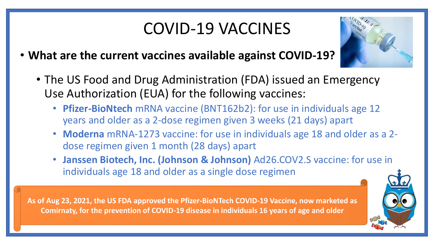# COVID-19 VACCINES

- **What are the current vaccines available against COVID-19?**
	- The US Food and Drug Administration (FDA) issued an Emergency Use Authorization (EUA) for the following vaccines:
		- **Pfizer-BioNtech** mRNA vaccine (BNT162b2): for use in individuals age 12 years and older as a 2-dose regimen given 3 weeks (21 days) apart
		- **Moderna** mRNA-1273 vaccine: for use in individuals age 18 and older as a 2 dose regimen given 1 month (28 days) apart
		- **Janssen Biotech, Inc. (Johnson & Johnson)** Ad26.COV2.S vaccine: for use in individuals age 18 and older as a single dose regimen

As of Aug 23, 2021, the US FDA approved the Pfizer-BioNTech COVID-19 Vaccine, now marketed as Comirnaty, for the prevention of COVID-19 disease in individuals 16 years of age and older



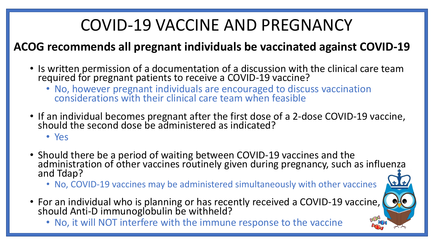# COVID-19 VACCINE AND PREGNANCY

## **ACOG recommends all pregnant individuals be vaccinated against COVID-19**

- Is written permission of a documentation of a discussion with the clinical care team required for pregnant patients to receive a COVID-19 vaccine?
	- No, however pregnant individuals are encouraged to discuss vaccination considerations with their clinical care team when feasible
- If an individual becomes pregnant after the first dose of a 2-dose COVID-19 vaccine, should the second dose be administered as indicated?
	- Yes
- Should there be a period of waiting between COVID-19 vaccines and the administration of other vaccines routinely given during pregnancy, such as influenza and Tdap?
	- No, COVID-19 vaccines may be administered simultaneously with other vaccines
- For an individual who is planning or has recently received a COVID-19 vaccine,  $\bigcirc$   $\bigcirc$ should Anti-D immunoglobulin be withheld?
	- No, it will NOT interfere with the immune response to the vaccine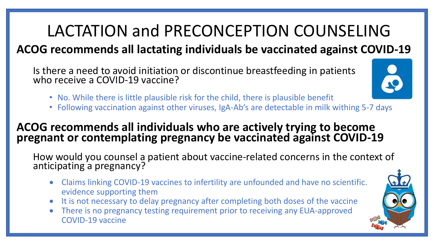# LACTATION and PRECONCEPTION COUNSELING

## **ACOG recommends all lactating individuals be vaccinated against COVID-19**

Is there a need to avoid initiation or discontinue breastfeeding in patients who receive a COVID-19 vaccine?

- No. While there is little plausible risk for the child, there is plausible benefit
- Following vaccination against other viruses, IgA-Ab's are detectable in milk withing 5-7 days

### **ACOG recommends all individuals who are actively trying to become pregnant or contemplating pregnancy be vaccinated against COVID-19**

How would you counsel a patient about vaccine-related concerns in the context of anticipating a pregnancy?

- Claims linking COVID-19 vaccines to infertility are unfounded and have no scientific. evidence supporting them
- It is not necessary to delay pregnancy after completing both doses of the vaccine
- There is no pregnancy testing requirement prior to receiving any EUA-approved COVID-19 vaccine

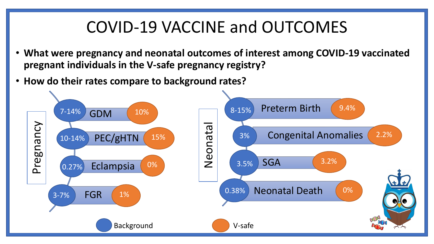## COVID-19 VACCINE and OUTCOMES

- **What were pregnancy and neonatal outcomes of interest among COVID-19 vaccinated pregnant individuals in the V-safe pregnancy registry?**
- **How do their rates compare to background rates?**

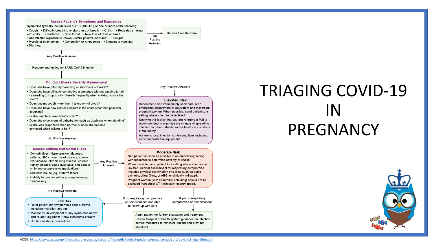#### **Assess Patient's Symptoms and Exposures**

Symptoms typically include fever ≥38°C (100.4°F) or one or more of the following: • Cough • Difficulty breathing or shortness of breath • Chills • Repeated shaking with chills • Headache • Sore throat • New loss of taste or smell • Unprotected exposure to known COVID-positive individual • Fatigue • Muscle or body aches • Congestion or runny nose • Nausea or vomiting • Diarrhea

Routine Prenatal Care **No** Positive Answers

**Any Positive Answers** 

**Elevated Risk** 

pregnant women. When possible, send patient to a

Notifying the facility that you are referring a PUI is

recommended to minimize the chance of spreading

infection to other patients and/or healthcare workers

Adhere to local infection control practices including

Recommend she immediately seek care in an emergency department or equivalent unit that treats

setting where she can be isolated.

personal protective equipment

at the facility

**Any Positive Answers** 

Recommend testing for SARS-CoV-2 infection\*

#### **Conduct Illness Severity Assessment**

- Does she have difficulty breathing or shortness of breath?
- Does she have difficulty completing a sentence without gasping for air or needing to stop to catch breath frequently when walking across the room?
- Does patient cough more than 1 teaspoon of blood?
- Does she have new pain or pressure in the chest other than pain with coughing?<br>
Is she unable to keep liquids down? coughing?
- 
- Does she show signs of dehydration such as dizziness when standing?
- Is she less responsive than normal or does she become confused when talking to her?



#### **Assess Clinical and Social Risks**

- Comorbidities (Hypertension, diabetes, asthma, HIV, chronic heart disease, chronic Any Positive liver disease, chronic lung disease, chronic kidney disease, blood dyscrasia, and people<br>on immunosuppressive medications)<br>• Obstetric issues (eq. preterm labor)
- . Inability to care for self or arrange follow-up if necessary







- Refer patient for symptomatic care at home including hydration and rest
- Monitor for development of any symptoms above and re-start algorithm if new symptoms present
- Routine obstetric precautions

## TRIAGING COVID-19 IN PREGNANCY

#### **Moderate Risk**

See patient as soon as possible in an ambulatory setting with resources to determine severity of illness. When possible, send patient to a setting where she can be isolated. Clinical assessment for respiratory compromise includes physical examination and tests such as pulse oximetry, chest X-ray, or ABG as clinically indicated. Pregnant women (with abdominal shielding) should not be excluded from chest CT if clinically recommended.



Admit patient for further evaluation and treatment. Review hospital or health system guidance on infection control measures to minimize patient and provider exposure



Answers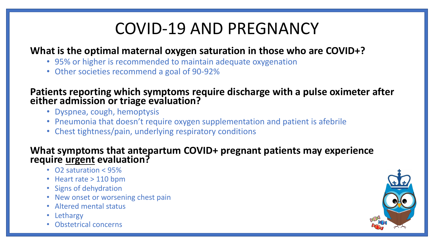# COVID-19 AND PREGNANCY

### **What is the optimal maternal oxygen saturation in those who are COVID+?**

- 95% or higher is recommended to maintain adequate oxygenation
- Other societies recommend a goal of 90-92%

### **Patients reporting which symptoms require discharge with a pulse oximeter after either admission or triage evaluation?**

- · Dyspnea, cough, hemoptysis
- Pneumonia that doesn't require oxygen supplementation and patient is afebrile
- 10-14%  $\overline{\phantom{a}}$ • Chest tightness/pain, underlying respiratory conditions

### **What symptoms that antepartum COVID+ pregnant patients may experience require urgent evaluation?**

- $\cdot$  O2 saturation < 95%
- Heart rate > 110 bpm
- Signs of dehydration
- New onset or worsening chest pain
- Altered mental status
- Lethargy
- Obstetrical concerns

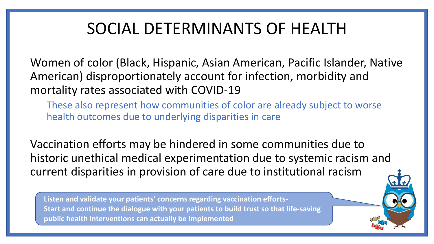## SOCIAL DETERMINANTS OF HEALTH

Women of color (Black, Hispanic, Asian American, Pacific Islander, Native American) disproportionately account for infection, morbidity and mortality rates associated with COVID-19

 $\frac{1}{2}$ These also represent how communities of color are already subject to worse health outcomes due to underlying disparities in care

 $\overline{10}$ e ancemearmearearexpermientation Vaccination efforts may be hindered in some communities due to historic unethical medical experimentation due to systemic racism and current disparities in provision of care due to institutional racism

0.38%

<del>-------</del><br>tan a **Listen and validate your patients' concerns regarding vaccination efforts-Start and continue the dialogue with your patients to build trust so that life-saving public health interventions can actually be implemented**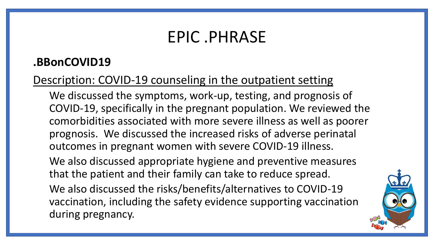## EPIC .PHRASE

## **.BBonCOVID19**

## Description: COVID-19 counseling in the outpatient setting

We discussed the symptoms, work-up, testing, and prognosis of COVID-19, specifically in the pregnant population. We reviewed the comorbidities associated with more severe illness as well as poorer prognosis. We discussed the increased risks of adverse perinatal outcomes in pregnant women with severe COVID-19 illness.

We also discussed appropriate hygiene and preventive measures that the patient and their family can take to reduce spread.

We also discussed the risks/benefits/alternatives to COVID-19 vaccination, including the safety evidence supporting vaccination during pregnancy.

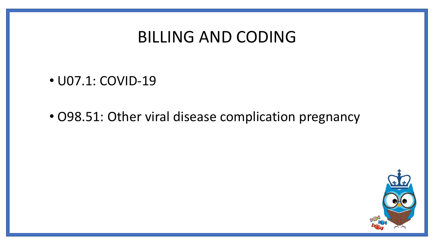## BILLING AND CODING

- U07.1: COVID-19
- O98.51: Other viral disease complication pregnancy